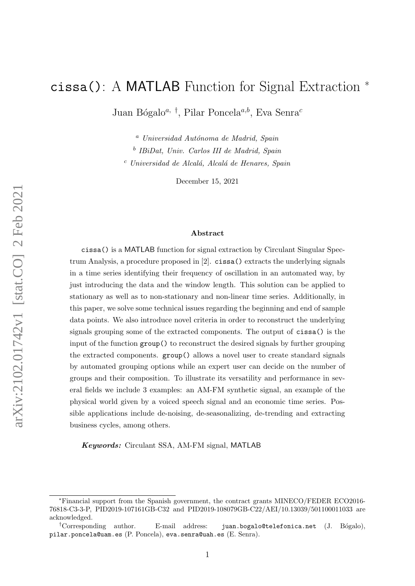# cissa(): A MATLAB Function for Signal Extraction <sup>∗</sup>

Juan Bógalo<sup>a, †</sup>, Pilar Poncela<sup>a,b</sup>, Eva Senra<sup>c</sup>

 $a$  Universidad Autónoma de Madrid, Spain b IBiDat, Univ. Carlos III de Madrid, Spain  $c$  Universidad de Alcalá, Alcalá de Henares, Spain

December 15, 2021

#### Abstract

cissa() is a MATLAB function for signal extraction by Circulant Singular Spectrum Analysis, a procedure proposed in [\[2\]](#page-18-0). cissa() extracts the underlying signals in a time series identifying their frequency of oscillation in an automated way, by just introducing the data and the window length. This solution can be applied to stationary as well as to non-stationary and non-linear time series. Additionally, in this paper, we solve some technical issues regarding the beginning and end of sample data points. We also introduce novel criteria in order to reconstruct the underlying signals grouping some of the extracted components. The output of cissa() is the input of the function group() to reconstruct the desired signals by further grouping the extracted components. group() allows a novel user to create standard signals by automated grouping options while an expert user can decide on the number of groups and their composition. To illustrate its versatility and performance in several fields we include 3 examples: an AM-FM synthetic signal, an example of the physical world given by a voiced speech signal and an economic time series. Possible applications include de-noising, de-seasonalizing, de-trending and extracting business cycles, among others.

Keywords: Circulant SSA, AM-FM signal, MATLAB

<sup>∗</sup>Financial support from the Spanish government, the contract grants MINECO/FEDER ECO2016- 76818-C3-3-P, PID2019-107161GB-C32 and PID2019-108079GB-C22/AEI/10.13039/501100011033 are acknowledged.

<sup>&</sup>lt;sup>†</sup>Corresponding author. E-mail address: juan.bogalo@telefonica.net (J. Bógalo), pilar.poncela@uam.es (P. Poncela), eva.senra@uah.es (E. Senra).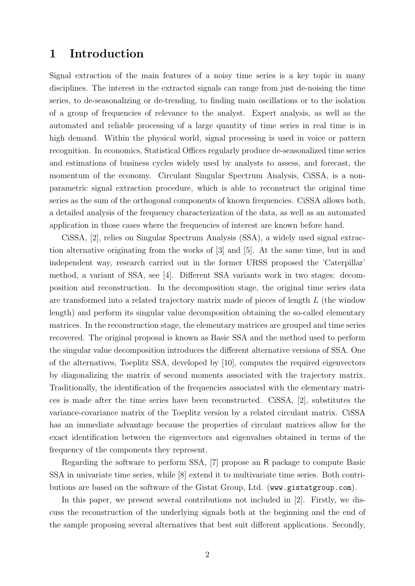### 1 Introduction

Signal extraction of the main features of a noisy time series is a key topic in many disciplines. The interest in the extracted signals can range from just de-noising the time series, to de-seasonalizing or de-trending, to finding main oscillations or to the isolation of a group of frequencies of relevance to the analyst. Expert analysis, as well as the automated and reliable processing of a large quantity of time series in real time is in high demand. Within the physical world, signal processing is used in voice or pattern recognition. In economics, Statistical Offices regularly produce de-seasonalized time series and estimations of business cycles widely used by analysts to assess, and forecast, the momentum of the economy. Circulant Singular Spectrum Analysis, CiSSA, is a nonparametric signal extraction procedure, which is able to reconstruct the original time series as the sum of the orthogonal components of known frequencies. CiSSA allows both, a detailed analysis of the frequency characterization of the data, as well as an automated application in those cases where the frequencies of interest are known before hand.

CiSSA, [\[2\]](#page-18-0), relies on Singular Spectrum Analysis (SSA), a widely used signal extraction alternative originating from the works of [\[3\]](#page-18-1) and [\[5\]](#page-18-2). At the same time, but in and independent way, research carried out in the former URSS proposed the 'Caterpillar' method, a variant of SSA, see [\[4\]](#page-18-3). Different SSA variants work in two stages: decomposition and reconstruction. In the decomposition stage, the original time series data are transformed into a related trajectory matrix made of pieces of length L (the window length) and perform its singular value decomposition obtaining the so-called elementary matrices. In the reconstruction stage, the elementary matrices are grouped and time series recovered. The original proposal is known as Basic SSA and the method used to perform the singular value decomposition introduces the different alternative versions of SSA. One of the alternatives, Toeplitz SSA, developed by [\[10\]](#page-18-4), computes the required eigenvectors by diagonalizing the matrix of second moments associated with the trajectory matrix. Traditionally, the identification of the frequencies associated with the elementary matrices is made after the time series have been reconstructed. CiSSA, [\[2\]](#page-18-0), substitutes the variance-covariance matrix of the Toeplitz version by a related circulant matrix. CiSSA has an immediate advantage because the properties of circulant matrices allow for the exact identification between the eigenvectors and eigenvalues obtained in terms of the frequency of the components they represent.

Regarding the software to perform SSA, [\[7\]](#page-18-5) propose an R package to compute Basic SSA in univariate time series, while [\[8\]](#page-18-6) extend it to multivariate time series. Both contributions are based on the software of the Gistat Group, Ltd. (<www.gistatgroup.com>).

In this paper, we present several contributions not included in [\[2\]](#page-18-0). Firstly, we discuss the reconstruction of the underlying signals both at the beginning and the end of the sample proposing several alternatives that best suit different applications. Secondly,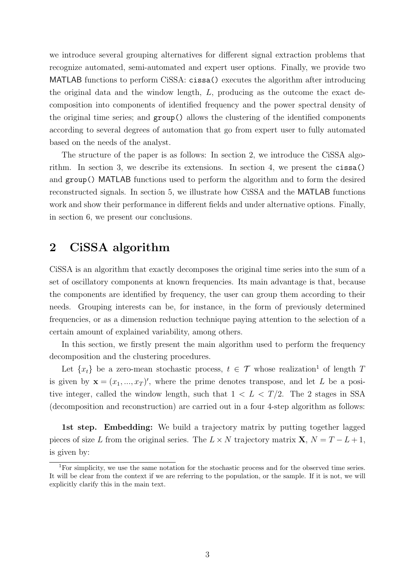we introduce several grouping alternatives for different signal extraction problems that recognize automated, semi-automated and expert user options. Finally, we provide two MATLAB functions to perform CiSSA: cissa() executes the algorithm after introducing the original data and the window length, L, producing as the outcome the exact decomposition into components of identified frequency and the power spectral density of the original time series; and group() allows the clustering of the identified components according to several degrees of automation that go from expert user to fully automated based on the needs of the analyst.

The structure of the paper is as follows: In section 2, we introduce the CiSSA algorithm. In section 3, we describe its extensions. In section 4, we present the cissa() and group() MATLAB functions used to perform the algorithm and to form the desired reconstructed signals. In section 5, we illustrate how CiSSA and the MATLAB functions work and show their performance in different fields and under alternative options. Finally, in section 6, we present our conclusions.

# 2 CiSSA algorithm

CiSSA is an algorithm that exactly decomposes the original time series into the sum of a set of oscillatory components at known frequencies. Its main advantage is that, because the components are identified by frequency, the user can group them according to their needs. Grouping interests can be, for instance, in the form of previously determined frequencies, or as a dimension reduction technique paying attention to the selection of a certain amount of explained variability, among others.

In this section, we firstly present the main algorithm used to perform the frequency decomposition and the clustering procedures.

Let  $\{x_t\}$  be a zero-mean stochastic process,  $t \in \mathcal{T}$  whose realization<sup>[1](#page-2-0)</sup> of length T is given by  $\mathbf{x} = (x_1, ..., x_T)'$ , where the prime denotes transpose, and let L be a positive integer, called the window length, such that  $1 < L < T/2$ . The 2 stages in SSA (decomposition and reconstruction) are carried out in a four 4-step algorithm as follows:

1st step. Embedding: We build a trajectory matrix by putting together lagged pieces of size L from the original series. The  $L \times N$  trajectory matrix  $X, N = T - L + 1$ , is given by:

<span id="page-2-0"></span><sup>&</sup>lt;sup>1</sup>For simplicity, we use the same notation for the stochastic process and for the observed time series. It will be clear from the context if we are referring to the population, or the sample. If it is not, we will explicitly clarify this in the main text.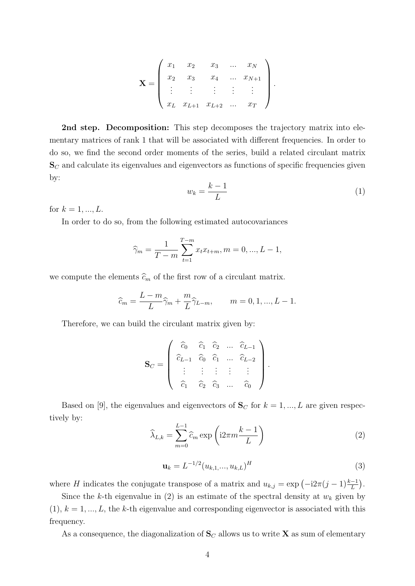$$
\mathbf{X} = \begin{pmatrix} x_1 & x_2 & x_3 & \dots & x_N \\ x_2 & x_3 & x_4 & \dots & x_{N+1} \\ \vdots & \vdots & \vdots & \vdots & \vdots \\ x_L & x_{L+1} & x_{L+2} & \dots & x_T \end{pmatrix}.
$$

2nd step. Decomposition: This step decomposes the trajectory matrix into elementary matrices of rank 1 that will be associated with different frequencies. In order to do so, we find the second order moments of the series, build a related circulant matrix  $\mathbf{S}_{C}$  and calculate its eigenvalues and eigenvectors as functions of specific frequencies given by:

<span id="page-3-1"></span>
$$
w_k = \frac{k-1}{L} \tag{1}
$$

for  $k = 1, ..., L$ .

In order to do so, from the following estimated autocovariances

$$
\widehat{\gamma}_m = \frac{1}{T-m} \sum_{t=1}^{T-m} x_t x_{t+m}, \quad m = 0, \dots, L-1,
$$

we compute the elements  $\widehat{c}_m$  of the first row of a circulant matrix.

$$
\widehat{c}_m = \frac{L - m}{L} \widehat{\gamma}_m + \frac{m}{L} \widehat{\gamma}_{L-m}, \qquad m = 0, 1, ..., L - 1.
$$

Therefore, we can build the circulant matrix given by:

$$
\mathbf{S}_C = \left( \begin{array}{cccc} \widehat{c}_0 & \widehat{c}_1 & \widehat{c}_2 & \dots & \widehat{c}_{L-1} \\ \widehat{c}_{L-1} & \widehat{c}_0 & \widehat{c}_1 & \dots & \widehat{c}_{L-2} \\ \vdots & \vdots & \vdots & \vdots & \vdots \\ \widehat{c}_1 & \widehat{c}_2 & \widehat{c}_3 & \dots & \widehat{c}_0 \end{array} \right)
$$

Based on [\[9\]](#page-18-7), the eigenvalues and eigenvectors of  $S_C$  for  $k = 1, ..., L$  are given respectively by:

<span id="page-3-0"></span>
$$
\widehat{\lambda}_{L,k} = \sum_{m=0}^{L-1} \widehat{c}_m \exp\left(i2\pi m \frac{k-1}{L}\right)
$$
\n(2)

<span id="page-3-2"></span>
$$
\mathbf{u}_k = L^{-1/2} (u_{k,1}, ..., u_{k,L})^H
$$
 (3)

.

where H indicates the conjugate transpose of a matrix and  $u_{k,j} = \exp(-i2\pi(j-1)\frac{k-1}{L})$ .

Since the k-th eigenvalue in [\(2\)](#page-3-0) is an estimate of the spectral density at  $w_k$  given by  $(1), k = 1, ..., L$  $(1), k = 1, ..., L$ , the k-th eigenvalue and corresponding eigenvector is associated with this frequency.

As a consequence, the diagonalization of  $S_C$  allows us to write X as sum of elementary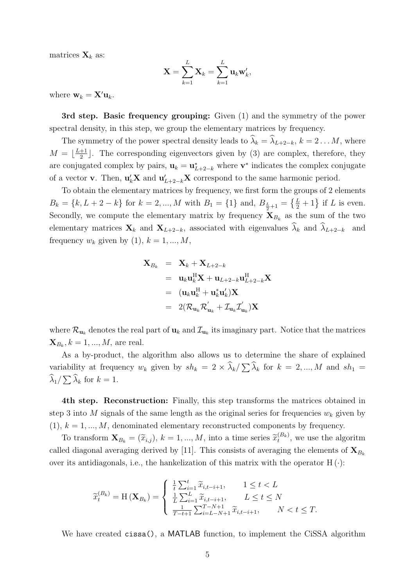matrices  $\mathbf{X}_k$  as:

$$
\mathbf{X} = \sum_{k=1}^L \mathbf{X}_k = \sum_{k=1}^L \mathbf{u}_k \mathbf{w}'_k,
$$

where  $\mathbf{w}_k = \mathbf{X}' \mathbf{u}_k$ .

3rd step. Basic frequency grouping: Given [\(1\)](#page-3-1) and the symmetry of the power spectral density, in this step, we group the elementary matrices by frequency.

The symmetry of the power spectral density leads to  $\widehat{\lambda}_k = \widehat{\lambda}_{L+2-k}, k = 2 \ldots M$ , where  $M = \lfloor \frac{L+1}{2} \rfloor$  $\frac{+1}{2}$ . The corresponding eigenvectors given by [\(3\)](#page-3-2) are complex, therefore, they are conjugated complex by pairs,  $\mathbf{u}_k = \mathbf{u}_{L+2-k}^*$  where  $\mathbf{v}^*$  indicates the complex conjugate of a vector **v**. Then,  $\mathbf{u}_k' \mathbf{X}$  and  $\mathbf{u}_{L+2-k}' \mathbf{X}$  correspond to the same harmonic period.

To obtain the elementary matrices by frequency, we first form the groups of 2 elements  $B_k = \{k, L+2-k\}$  for  $k = 2, ..., M$  with  $B_1 = \{1\}$  and,  $B_{\frac{L}{2}+1} = \{\frac{L}{2}+1\}$  if L is even. Secondly, we compute the elementary matrix by frequency  $X_{B_k}$  as the sum of the two elementary matrices  $\mathbf{X}_k$  and  $\mathbf{X}_{L+2-k}$ , associated with eigenvalues  $\widehat{\lambda}_k$  and  $\widehat{\lambda}_{L+2-k}$  and frequency  $w_k$  given by [\(1\)](#page-3-1),  $k = 1, ..., M$ ,

$$
\mathbf{X}_{B_k} = \mathbf{X}_k + \mathbf{X}_{L+2-k}
$$
\n
$$
= \mathbf{u}_k \mathbf{u}_k^H \mathbf{X} + \mathbf{u}_{L+2-k} \mathbf{u}_{L+2-k}^H \mathbf{X}
$$
\n
$$
= (\mathbf{u}_k \mathbf{u}_k^H + \mathbf{u}_k^* \mathbf{u}_k') \mathbf{X}
$$
\n
$$
= 2(\mathcal{R}_{\mathbf{u}_k} \mathcal{R}_{\mathbf{u}_k} + \mathcal{I}_{\mathbf{u}_k} \mathcal{I}_{\mathbf{u}_k}) \mathbf{X}
$$

where  $\mathcal{R}_{\mathbf{u}_k}$  denotes the real part of  $\mathbf{u}_k$  and  $\mathcal{I}_{\mathbf{u}_k}$  its imaginary part. Notice that the matrices  $\mathbf{X}_{B_k}, k = 1, ..., M$ , are real.

As a by-product, the algorithm also allows us to determine the share of explained variability at frequency  $w_k$  given by  $sh_k = 2 \times \lambda_k / \sum_k \lambda_k$  for  $k = 2, ..., M$  and  $sh_1 = \hat{\lambda}$  $\lambda_1/\sum \lambda_k$  for  $k = 1$ .

4th step. Reconstruction: Finally, this step transforms the matrices obtained in step 3 into M signals of the same length as the original series for frequencies  $w_k$  given by  $(1), k = 1, ..., M$  $(1), k = 1, ..., M$ , denominated elementary reconstructed components by frequency.

To transform  $\mathbf{X}_{B_k} = (\widetilde{x}_{i,j}), k = 1, ..., M$ , into a time series  $\widetilde{x}_t^{(B_k)}$ , we use the algoritm called diagonal averaging derived by [\[11\]](#page-19-0). This consists of averaging the elements of  $\mathbf{X}_{B_k}$ over its antidiagonals, i.e., the hankelization of this matrix with the operator  $H(.)$ :

$$
\widetilde{x}_{t}^{(B_{k})} = \mathcal{H}\left(\mathbf{X}_{B_{k}}\right) = \begin{cases} \frac{1}{t} \sum_{i=1}^{t} \widetilde{x}_{i,t-i+1}, & 1 \leq t < L \\ \frac{1}{L} \sum_{i=1}^{L} \widetilde{x}_{i,t-i+1}, & L \leq t \leq N \\ \frac{1}{T-t+1} \sum_{i=L-N+1}^{T-N+1} \widetilde{x}_{i,t-i+1}, & N < t \leq T. \end{cases}
$$

We have created cissa(), a MATLAB function, to implement the CiSSA algorithm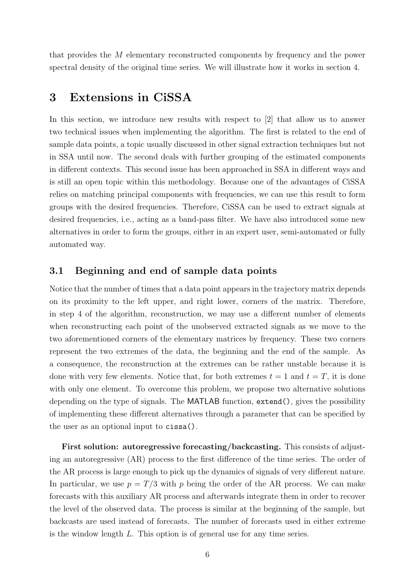that provides the M elementary reconstructed components by frequency and the power spectral density of the original time series. We will illustrate how it works in section 4.

# 3 Extensions in CiSSA

In this section, we introduce new results with respect to [\[2\]](#page-18-0) that allow us to answer two technical issues when implementing the algorithm. The first is related to the end of sample data points, a topic usually discussed in other signal extraction techniques but not in SSA until now. The second deals with further grouping of the estimated components in different contexts. This second issue has been approached in SSA in different ways and is still an open topic within this methodology. Because one of the advantages of CiSSA relies on matching principal components with frequencies, we can use this result to form groups with the desired frequencies. Therefore, CiSSA can be used to extract signals at desired frequencies, i.e., acting as a band-pass filter. We have also introduced some new alternatives in order to form the groups, either in an expert user, semi-automated or fully automated way.

### 3.1 Beginning and end of sample data points

Notice that the number of times that a data point appears in the trajectory matrix depends on its proximity to the left upper, and right lower, corners of the matrix. Therefore, in step 4 of the algorithm, reconstruction, we may use a different number of elements when reconstructing each point of the unobserved extracted signals as we move to the two aforementioned corners of the elementary matrices by frequency. These two corners represent the two extremes of the data, the beginning and the end of the sample. As a consequence, the reconstruction at the extremes can be rather unstable because it is done with very few elements. Notice that, for both extremes  $t = 1$  and  $t = T$ , it is done with only one element. To overcome this problem, we propose two alternative solutions depending on the type of signals. The MATLAB function, extend(), gives the possibility of implementing these different alternatives through a parameter that can be specified by the user as an optional input to cissa().

First solution: autoregressive forecasting/backcasting. This consists of adjusting an autoregressive (AR) process to the first difference of the time series. The order of the AR process is large enough to pick up the dynamics of signals of very different nature. In particular, we use  $p = T/3$  with p being the order of the AR process. We can make forecasts with this auxiliary AR process and afterwards integrate them in order to recover the level of the observed data. The process is similar at the beginning of the sample, but backcasts are used instead of forecasts. The number of forecasts used in either extreme is the window length L. This option is of general use for any time series.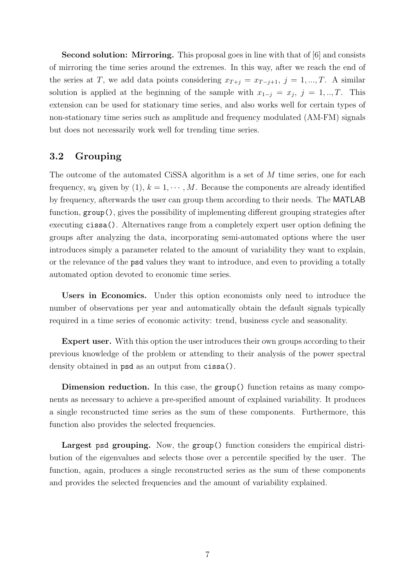Second solution: Mirroring. This proposal goes in line with that of [\[6\]](#page-18-8) and consists of mirroring the time series around the extremes. In this way, after we reach the end of the series at T, we add data points considering  $x_{T+j} = x_{T-j+1}, j = 1, ..., T$ . A similar solution is applied at the beginning of the sample with  $x_{1-j} = x_j$ ,  $j = 1, ..., T$ . This extension can be used for stationary time series, and also works well for certain types of non-stationary time series such as amplitude and frequency modulated (AM-FM) signals but does not necessarily work well for trending time series.

### 3.2 Grouping

The outcome of the automated CiSSA algorithm is a set of M time series, one for each frequency,  $w_k$  given by [\(1\)](#page-3-1),  $k = 1, \dots, M$ . Because the components are already identified by frequency, afterwards the user can group them according to their needs. The MATLAB function, group(), gives the possibility of implementing different grouping strategies after executing cissa(). Alternatives range from a completely expert user option defining the groups after analyzing the data, incorporating semi-automated options where the user introduces simply a parameter related to the amount of variability they want to explain, or the relevance of the psd values they want to introduce, and even to providing a totally automated option devoted to economic time series.

Users in Economics. Under this option economists only need to introduce the number of observations per year and automatically obtain the default signals typically required in a time series of economic activity: trend, business cycle and seasonality.

Expert user. With this option the user introduces their own groups according to their previous knowledge of the problem or attending to their analysis of the power spectral density obtained in psd as an output from cissa().

Dimension reduction. In this case, the group() function retains as many components as necessary to achieve a pre-specified amount of explained variability. It produces a single reconstructed time series as the sum of these components. Furthermore, this function also provides the selected frequencies.

Largest psd grouping. Now, the group() function considers the empirical distribution of the eigenvalues and selects those over a percentile specified by the user. The function, again, produces a single reconstructed series as the sum of these components and provides the selected frequencies and the amount of variability explained.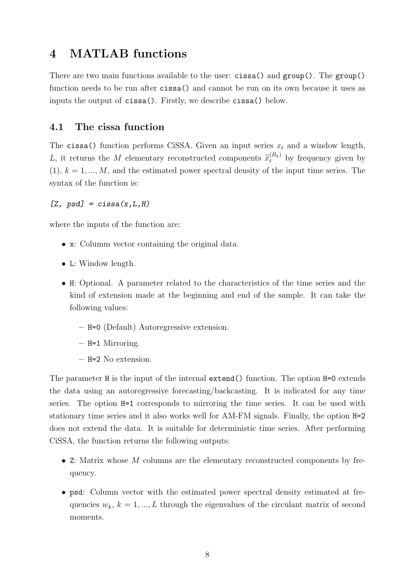## 4 MATLAB functions

There are two main functions available to the user: cissa() and group(). The group() function needs to be run after cissa() and cannot be run on its own because it uses as inputs the output of cissa(). Firstly, we describe cissa() below.

### 4.1 The cissa function

The cissa() function performs CiSSA. Given an input series  $x_t$  and a window length, L, it returns the M elementary reconstructed components  $\widetilde{x}_t^{(B_k)}$  by frequency given by  $(1), k = 1, ..., M$  $(1), k = 1, ..., M$ , and the estimated power spectral density of the input time series. The syntax of the function is:

#### $[Z, psd] = cissa(x, L, H)$

where the inputs of the function are:

- x: Columm vector containing the original data.
- L: Window length.
- H: Optional. A parameter related to the characteristics of the time series and the kind of extension made at the beginning and end of the sample. It can take the following values:
	- H=0 (Default) Autoregressive extension.
	- H=1 Mirroring.
	- H=2 No extension.

The parameter H is the input of the internal extend() function. The option H=0 extends the data using an autoregressive forecasting/backcasting. It is indicated for any time series. The option H=1 corresponds to mirroring the time series. It can be used with stationary time series and it also works well for AM-FM signals. Finally, the option H=2 does not extend the data. It is suitable for deterministic time series. After performing CiSSA, the function returns the following outputs:

- Z: Matrix whose  $M$  columns are the elementary reconstructed components by frequency.
- psd: Column vector with the estimated power spectral density estimated at frequencies  $w_k$ ,  $k = 1, ..., L$  through the eigenvalues of the circulant matrix of second moments.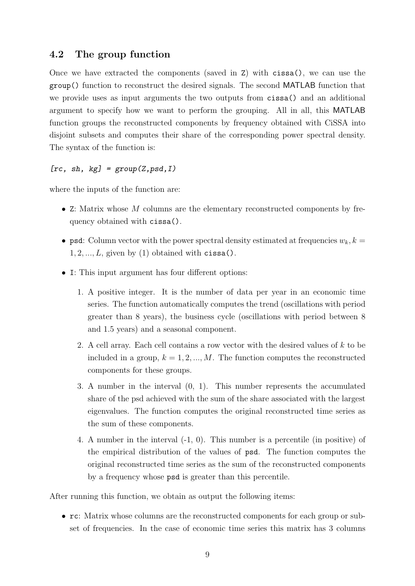### 4.2 The group function

Once we have extracted the components (saved in Z) with cissa(), we can use the group() function to reconstruct the desired signals. The second MATLAB function that we provide uses as input arguments the two outputs from cissa() and an additional argument to specify how we want to perform the grouping. All in all, this MATLAB function groups the reconstructed components by frequency obtained with CiSSA into disjoint subsets and computes their share of the corresponding power spectral density. The syntax of the function is:

#### $[rc, sh, kg] = group(Z, psd, I)$

where the inputs of the function are:

- Z: Matrix whose  $M$  columns are the elementary reconstructed components by frequency obtained with cissa().
- psd: Column vector with the power spectral density estimated at frequencies  $w_k, k =$  $1, 2, \ldots, L$ , given by [\(1\)](#page-3-1) obtained with cissa().
- I: This input argument has four different options:
	- 1. A positive integer. It is the number of data per year in an economic time series. The function automatically computes the trend (oscillations with period greater than 8 years), the business cycle (oscillations with period between 8 and 1.5 years) and a seasonal component.
	- 2. A cell array. Each cell contains a row vector with the desired values of k to be included in a group,  $k = 1, 2, ..., M$ . The function computes the reconstructed components for these groups.
	- 3. A number in the interval (0, 1). This number represents the accumulated share of the psd achieved with the sum of the share associated with the largest eigenvalues. The function computes the original reconstructed time series as the sum of these components.
	- 4. A number in the interval (-1, 0). This number is a percentile (in positive) of the empirical distribution of the values of psd. The function computes the original reconstructed time series as the sum of the reconstructed components by a frequency whose psd is greater than this percentile.

After running this function, we obtain as output the following items:

• rc: Matrix whose columns are the reconstructed components for each group or subset of frequencies. In the case of economic time series this matrix has 3 columns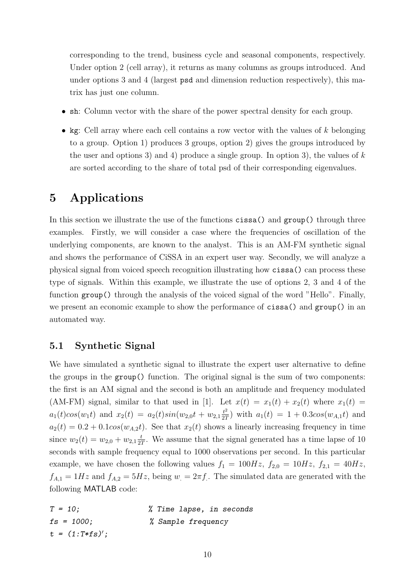corresponding to the trend, business cycle and seasonal components, respectively. Under option 2 (cell array), it returns as many columns as groups introduced. And under options 3 and 4 (largest psd and dimension reduction respectively), this matrix has just one column.

- sh: Column vector with the share of the power spectral density for each group.
- kg: Cell array where each cell contains a row vector with the values of  $k$  belonging to a group. Option 1) produces 3 groups, option 2) gives the groups introduced by the user and options 3) and 4) produce a single group. In option 3), the values of  $k$ are sorted according to the share of total psd of their corresponding eigenvalues.

# 5 Applications

In this section we illustrate the use of the functions cissa() and group() through three examples. Firstly, we will consider a case where the frequencies of oscillation of the underlying components, are known to the analyst. This is an AM-FM synthetic signal and shows the performance of CiSSA in an expert user way. Secondly, we will analyze a physical signal from voiced speech recognition illustrating how cissa() can process these type of signals. Within this example, we illustrate the use of options 2, 3 and 4 of the function group() through the analysis of the voiced signal of the word "Hello". Finally, we present an economic example to show the performance of cissa() and group() in an automated way.

### 5.1 Synthetic Signal

We have simulated a synthetic signal to illustrate the expert user alternative to define the groups in the group() function. The original signal is the sum of two components: the first is an AM signal and the second is both an amplitude and frequency modulated (AM-FM) signal, similar to that used in [\[1\]](#page-18-9). Let  $x(t) = x_1(t) + x_2(t)$  where  $x_1(t) =$  $a_1(t)cos(w_1t)$  and  $x_2(t) = a_2(t)sin(w_{2,0}t + w_{2,1}\frac{t^2}{27})$  $\frac{t^2}{2T}$ ) with  $a_1(t) = 1 + 0.3\cos(w_{A,1}t)$  and  $a_2(t) = 0.2 + 0.1 \cos(w_{A,2}t)$ . See that  $x_2(t)$  shows a linearly increasing frequency in time since  $w_2(t) = w_{2,0} + w_{2,1} \frac{t}{2}$  $\frac{t}{2T}$ . We assume that the signal generated has a time lapse of 10 seconds with sample frequency equal to 1000 observations per second. In this particular example, we have chosen the following values  $f_1 = 100Hz$ ,  $f_{2,0} = 10Hz$ ,  $f_{2,1} = 40Hz$ ,  $f_{A,1} = 1 Hz$  and  $f_{A,2} = 5 Hz$ , being  $w_1 = 2\pi f$ . The simulated data are generated with the following MATLAB code:

| $T = 10$ :       | % Time lapse, in seconds |
|------------------|--------------------------|
| $fs = 1000;$     | % Sample frequency       |
| $t = (1:T*fs)';$ |                          |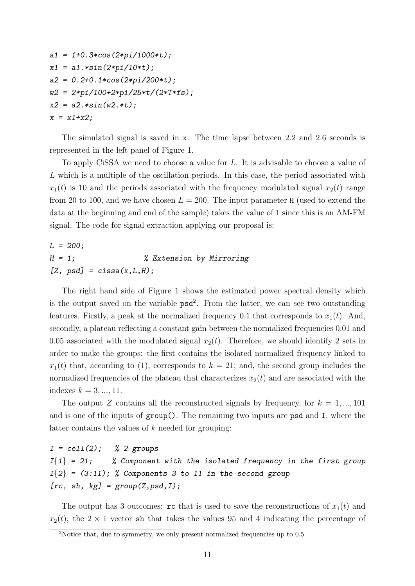```
a1 = 1+0.3*cos(2*pi/1000*t);x1 = a1.*sin(2*pi/10*t);a2 = 0.2 + 0.1 * cos(2 * pi / 200 * t);w2 = 2*pi/100+2*pi/25*t/(2*T*fs);x2 = a2.*sin(w2.*t);
x = x1+x2;
```
The simulated signal is saved in x. The time lapse between 2.2 and 2.6 seconds is represented in the left panel of Figure [1.](#page-11-0)

To apply CiSSA we need to choose a value for L. It is advisable to choose a value of L which is a multiple of the oscillation periods. In this case, the period associated with  $x_1(t)$  is 10 and the periods associated with the frequency modulated signal  $x_2(t)$  range from 20 to 100, and we have chosen  $L = 200$ . The input parameter H (used to extend the data at the beginning and end of the sample) takes the value of 1 since this is an AM-FM signal. The code for signal extraction applying our proposal is:

 $L = 200;$ H = 1; % Extension by Mirroring  $[Z, psd] = cissa(x, L, H);$ 

The right hand side of Figure [1](#page-11-0) shows the estimated power spectral density which is the output saved on the variable  $psd^2$  $psd^2$ . From the latter, we can see two outstanding features. Firstly, a peak at the normalized frequency 0.1 that corresponds to  $x_1(t)$ . And, secondly, a plateau reflecting a constant gain between the normalized frequencies 0.01 and 0.05 associated with the modulated signal  $x_2(t)$ . Therefore, we should identify 2 sets in order to make the groups: the first contains the isolated normalized frequency linked to  $x_1(t)$  that, according to [\(1\)](#page-3-1), corresponds to  $k = 21$ ; and, the second group includes the normalized frequencies of the plateau that characterizes  $x_2(t)$  and are associated with the indexes  $k = 3, ..., 11$ .

The output Z contains all the reconstructed signals by frequency, for  $k = 1, ..., 101$ and is one of the inputs of group(). The remaining two inputs are psd and I, where the latter contains the values of  $k$  needed for grouping:

 $I = cell(2)$ ; % 2 groups  $I{1} = 21$ ; % Component with the isolated frequency in the first group  $I{2} = (3:11);$  % Components 3 to 11 in the second group [ $rc, sh, kg$ ] =  $group(Z, psd, I);$ 

The output has 3 outcomes: rc that is used to save the reconstructions of  $x_1(t)$  and  $x_2(t)$ ; the  $2 \times 1$  vector sh that takes the values 95 and 4 indicating the percentage of

<span id="page-10-0"></span><sup>&</sup>lt;sup>2</sup>Notice that, due to symmetry, we only present normalized frequencies up to 0.5.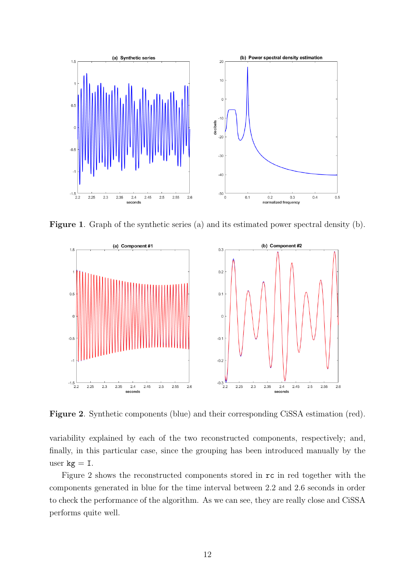

Figure 1. Graph of the synthetic series (a) and its estimated power spectral density (b).

<span id="page-11-0"></span>

<span id="page-11-1"></span>Figure 2. Synthetic components (blue) and their corresponding CiSSA estimation (red).

variability explained by each of the two reconstructed components, respectively; and, finally, in this particular case, since the grouping has been introduced manually by the user  $kg = I$ .

Figure [2](#page-11-1) shows the reconstructed components stored in rc in red together with the components generated in blue for the time interval between 2.2 and 2.6 seconds in order to check the performance of the algorithm. As we can see, they are really close and CiSSA performs quite well.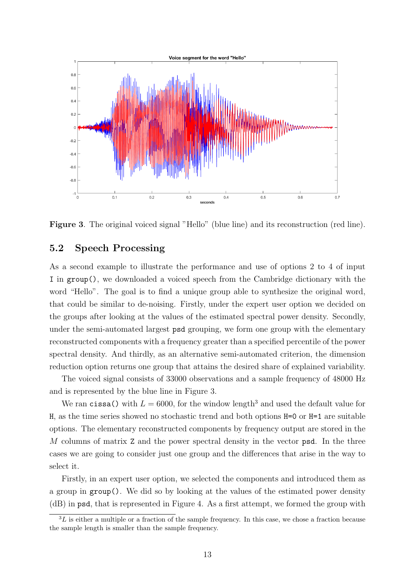

<span id="page-12-0"></span>Figure 3. The original voiced signal "Hello" (blue line) and its reconstruction (red line).

### 5.2 Speech Processing

As a second example to illustrate the performance and use of options 2 to 4 of input I in group(), we downloaded a voiced speech from the Cambridge dictionary with the word "Hello". The goal is to find a unique group able to synthesize the original word, that could be similar to de-noising. Firstly, under the expert user option we decided on the groups after looking at the values of the estimated spectral power density. Secondly, under the semi-automated largest psd grouping, we form one group with the elementary reconstructed components with a frequency greater than a specified percentile of the power spectral density. And thirdly, as an alternative semi-automated criterion, the dimension reduction option returns one group that attains the desired share of explained variability.

The voiced signal consists of 33000 observations and a sample frequency of 48000 Hz and is represented by the blue line in Figure [3.](#page-12-0)

We ran cissa() with  $L = 6000$ , for the window length<sup>[3](#page-12-1)</sup> and used the default value for H, as the time series showed no stochastic trend and both options H=0 or H=1 are suitable options. The elementary reconstructed components by frequency output are stored in the M columns of matrix Z and the power spectral density in the vector psd. In the three cases we are going to consider just one group and the differences that arise in the way to select it.

Firstly, in an expert user option, we selected the components and introduced them as a group in group(). We did so by looking at the values of the estimated power density (dB) in psd, that is represented in Figure [4.](#page-13-0) As a first attempt, we formed the group with

<span id="page-12-1"></span> ${}^{3}L$  is either a multiple or a fraction of the sample frequency. In this case, we chose a fraction because the sample length is smaller than the sample frequency.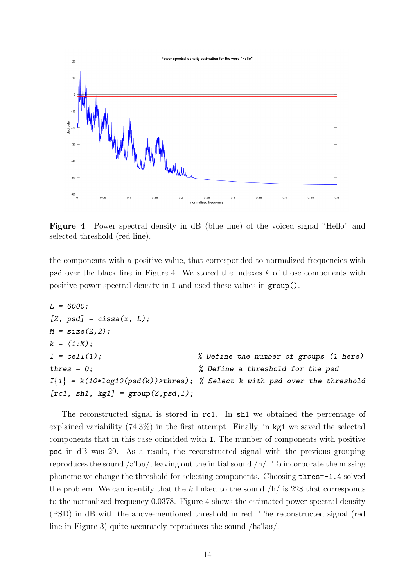

<span id="page-13-0"></span>Figure 4. Power spectral density in dB (blue line) of the voiced signal "Hello" and selected threshold (red line).

the components with a positive value, that corresponded to normalized frequencies with psd over the black line in Figure [4.](#page-13-0) We stored the indexes k of those components with positive power spectral density in I and used these values in group().

```
L = 6000;[Z, psd] = cissa(x, L);M = size(Z, 2);k = (1:N);I = cell(1); % Define the number of groups (1 here)
thres = 0; % Define a threshold for the psdI{1} = k(10 * log10(psd(k))) thres); % Select k with psd over the threshold
[rc1, sh1, kg1] = group(Z, psd, I);
```
The reconstructed signal is stored in rc1. In sh1 we obtained the percentage of explained variability (74.3%) in the first attempt. Finally, in kg1 we saved the selected components that in this case coincided with I. The number of components with positive psd in dB was 29. As a result, the reconstructed signal with the previous grouping reproduces the sound  $\sqrt{a}$ "lov/, leaving out the initial sound  $/h/$ . To incorporate the missing phoneme we change the threshold for selecting components. Choosing thres=-1.4 solved the problem. We can identify that the k linked to the sound  $/h/$  is 228 that corresponds to the normalized frequency 0.0378. Figure [4](#page-13-0) shows the estimated power spectral density (PSD) in dB with the above-mentioned threshold in red. The reconstructed signal (red line in Figure [3\)](#page-12-0) quite accurately reproduces the sound  $\ell$ ha lau $\ell$ .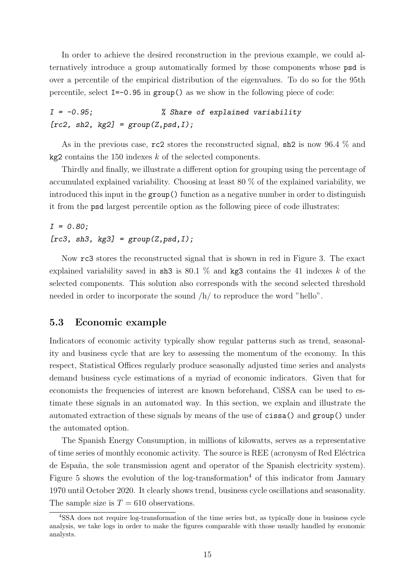In order to achieve the desired reconstruction in the previous example, we could alternatively introduce a group automatically formed by those components whose psd is over a percentile of the empirical distribution of the eigenvalues. To do so for the 95th percentile, select  $I = -0.95$  in group() as we show in the following piece of code:

 $I = -0.95$ ;  $\%$  Share of explained variability  $[rc2, sh2, kg2] = group(Z, psd, I);$ 

As in the previous case, rc2 stores the reconstructed signal, sh2 is now 96.4 % and  $kg2$  contains the 150 indexes  $k$  of the selected components.

Thirdly and finally, we illustrate a different option for grouping using the percentage of accumulated explained variability. Choosing at least 80 % of the explained variability, we introduced this input in the group() function as a negative number in order to distinguish it from the psd largest percentile option as the following piece of code illustrates:

 $I = 0.80;$ [ $rc3$ ,  $sh3$ ,  $kg3$ ] =  $group(Z, psd, I)$ ;

Now rc3 stores the reconstructed signal that is shown in red in Figure [3.](#page-12-0) The exact explained variability saved in sh3 is 80.1  $\%$  and kg3 contains the 41 indexes k of the selected components. This solution also corresponds with the second selected threshold needed in order to incorporate the sound  $/h/$  to reproduce the word "hello".

#### 5.3 Economic example

Indicators of economic activity typically show regular patterns such as trend, seasonality and business cycle that are key to assessing the momentum of the economy. In this respect, Statistical Offices regularly produce seasonally adjusted time series and analysts demand business cycle estimations of a myriad of economic indicators. Given that for economists the frequencies of interest are known beforehand, CiSSA can be used to estimate these signals in an automated way. In this section, we explain and illustrate the automated extraction of these signals by means of the use of cissa() and group() under the automated option.

The Spanish Energy Consumption, in millions of kilowatts, serves as a representative of time series of monthly economic activity. The source is REE (acronysm of Red Eléctrica de España, the sole transmission agent and operator of the Spanish electricity system). Figure [5](#page-15-0) shows the evolution of the log-transformation<sup>[4](#page-14-0)</sup> of this indicator from January 1970 until October 2020. It clearly shows trend, business cycle oscillations and seasonality. The sample size is  $T = 610$  observations.

<span id="page-14-0"></span><sup>4</sup>SSA does not require log-transformation of the time series but, as typically done in business cycle analysis, we take logs in order to make the figures comparable with those usually handled by economic analysts.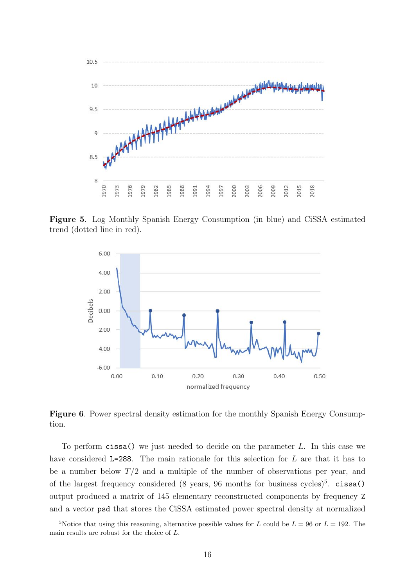

Figure 5. Log Monthly Spanish Energy Consumption (in blue) and CiSSA estimated trend (dotted line in red).

<span id="page-15-0"></span>

<span id="page-15-2"></span>Figure 6. Power spectral density estimation for the monthly Spanish Energy Consumption.

To perform cissa() we just needed to decide on the parameter L. In this case we have considered L=288. The main rationale for this selection for L are that it has to be a number below  $T/2$  and a multiple of the number of observations per year, and of the largest frequency considered  $(8 \text{ years}, 96 \text{ months} \text{ for business cycles})^5$  $(8 \text{ years}, 96 \text{ months} \text{ for business cycles})^5$ . cissa() output produced a matrix of 145 elementary reconstructed components by frequency Z and a vector psd that stores the CiSSA estimated power spectral density at normalized

<span id="page-15-1"></span><sup>&</sup>lt;sup>5</sup>Notice that using this reasoning, alternative possible values for L could be  $L = 96$  or  $L = 192$ . The main results are robust for the choice of L.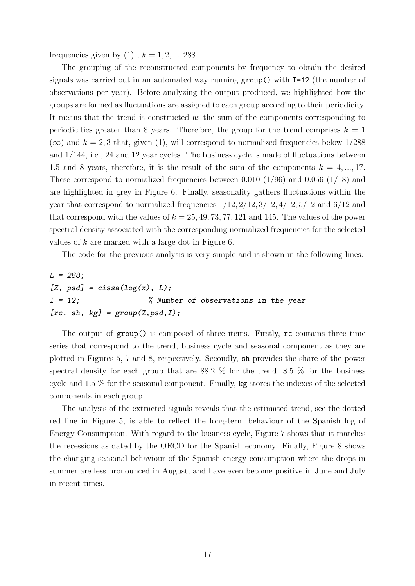frequencies given by  $(1)$ ,  $k = 1, 2, ..., 288$ .

The grouping of the reconstructed components by frequency to obtain the desired signals was carried out in an automated way running group() with I=12 (the number of observations per year). Before analyzing the output produced, we highlighted how the groups are formed as fluctuations are assigned to each group according to their periodicity. It means that the trend is constructed as the sum of the components corresponding to periodicities greater than 8 years. Therefore, the group for the trend comprises  $k = 1$  $(\infty)$  and  $k = 2, 3$  that, given [\(1\)](#page-3-1), will correspond to normalized frequencies below 1/288 and 1/144, i.e., 24 and 12 year cycles. The business cycle is made of fluctuations between 1.5 and 8 years, therefore, it is the result of the sum of the components  $k = 4, ..., 17$ . These correspond to normalized frequencies between 0.010 (1/96) and 0.056 (1/18) and are highlighted in grey in Figure [6.](#page-15-2) Finally, seasonality gathers fluctuations within the year that correspond to normalized frequencies  $1/12$ ,  $2/12$ ,  $3/12$ ,  $4/12$ ,  $5/12$  and  $6/12$  and that correspond with the values of  $k = 25, 49, 73, 77, 121$  and 145. The values of the power spectral density associated with the corresponding normalized frequencies for the selected values of k are marked with a large dot in Figure [6.](#page-15-2)

The code for the previous analysis is very simple and is shown in the following lines:

L = 288; [Z, psd] = cissa(log(x), L); I = 12; % Number of observations in the year [rc, sh, kg] = group(Z,psd,I);

The output of group() is composed of three items. Firstly, rc contains three time series that correspond to the trend, business cycle and seasonal component as they are plotted in Figures [5,](#page-15-0) [7](#page-17-0) and [8,](#page-17-1) respectively. Secondly, sh provides the share of the power spectral density for each group that are  $88.2\%$  for the trend,  $8.5\%$  for the business cycle and 1.5 % for the seasonal component. Finally, kg stores the indexes of the selected components in each group.

The analysis of the extracted signals reveals that the estimated trend, see the dotted red line in Figure [5,](#page-15-0) is able to reflect the long-term behaviour of the Spanish log of Energy Consumption. With regard to the business cycle, Figure [7](#page-17-0) shows that it matches the recessions as dated by the OECD for the Spanish economy. Finally, Figure [8](#page-17-1) shows the changing seasonal behaviour of the Spanish energy consumption where the drops in summer are less pronounced in August, and have even become positive in June and July in recent times.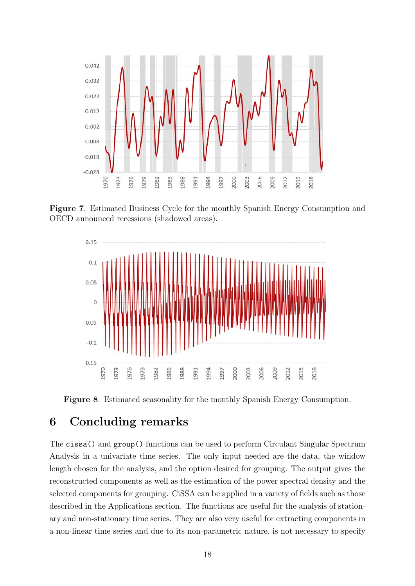

Figure 7. Estimated Business Cycle for the monthly Spanish Energy Consumption and OECD announced recessions (shadowed areas).

<span id="page-17-0"></span>

<span id="page-17-1"></span>Figure 8. Estimated seasonality for the monthly Spanish Energy Consumption.

# 6 Concluding remarks

The cissa() and group() functions can be used to perform Circulant Singular Spectrum Analysis in a univariate time series. The only input needed are the data, the window length chosen for the analysis, and the option desired for grouping. The output gives the reconstructed components as well as the estimation of the power spectral density and the selected components for grouping. CiSSA can be applied in a variety of fields such as those described in the Applications section. The functions are useful for the analysis of stationary and non-stationary time series. They are also very useful for extracting components in a non-linear time series and due to its non-parametric nature, is not necessary to specify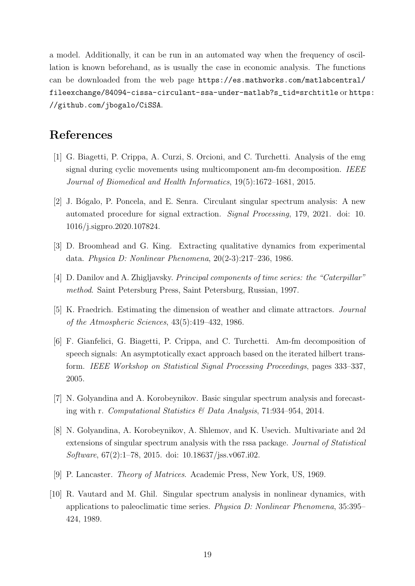a model. Additionally, it can be run in an automated way when the frequency of oscillation is known beforehand, as is usually the case in economic analysis. The functions can be downloaded from the web page [https://es.mathworks.com/matlabcentral/](https://es.mathworks.com/matlabcentral/fileexchange/84094-cissa-circulant-ssa-under-matlab?s_tid=srchtitle) [fileexchange/84094-cissa-circulant-ssa-under-matlab?s\\_tid=srchtitle](https://es.mathworks.com/matlabcentral/fileexchange/84094-cissa-circulant-ssa-under-matlab?s_tid=srchtitle) or [http](https://github.com/jbogalo/CiSSA)s: [//github.com/jbogalo/CiSSA](https://github.com/jbogalo/CiSSA).

# References

- <span id="page-18-9"></span>[1] G. Biagetti, P. Crippa, A. Curzi, S. Orcioni, and C. Turchetti. Analysis of the emg signal during cyclic movements using multicomponent am-fm decomposition. IEEE Journal of Biomedical and Health Informatics, 19(5):1672–1681, 2015.
- <span id="page-18-0"></span>[2] J. B´ogalo, P. Poncela, and E. Senra. Circulant singular spectrum analysis: A new automated procedure for signal extraction. Signal Processing, 179, 2021. doi: 10. 1016/j.sigpro.2020.107824.
- <span id="page-18-1"></span>[3] D. Broomhead and G. King. Extracting qualitative dynamics from experimental data. Physica D: Nonlinear Phenomena, 20(2-3):217–236, 1986.
- <span id="page-18-3"></span>[4] D. Danilov and A. Zhigljavsky. Principal components of time series: the "Caterpillar" method. Saint Petersburg Press, Saint Petersburg, Russian, 1997.
- <span id="page-18-2"></span>[5] K. Fraedrich. Estimating the dimension of weather and climate attractors. Journal of the Atmospheric Sciences, 43(5):419–432, 1986.
- <span id="page-18-8"></span>[6] F. Gianfelici, G. Biagetti, P. Crippa, and C. Turchetti. Am-fm decomposition of speech signals: An asymptotically exact approach based on the iterated hilbert transform. IEEE Workshop on Statistical Signal Processing Proceedings, pages 333–337, 2005.
- <span id="page-18-5"></span>[7] N. Golyandina and A. Korobeynikov. Basic singular spectrum analysis and forecasting with r. Computational Statistics  $\mathcal B$  Data Analysis, 71:934–954, 2014.
- <span id="page-18-6"></span>[8] N. Golyandina, A. Korobeynikov, A. Shlemov, and K. Usevich. Multivariate and 2d extensions of singular spectrum analysis with the rssa package. Journal of Statistical Software, 67(2):1–78, 2015. doi: 10.18637/jss.v067.i02.
- <span id="page-18-7"></span>[9] P. Lancaster. Theory of Matrices. Academic Press, New York, US, 1969.
- <span id="page-18-4"></span>[10] R. Vautard and M. Ghil. Singular spectrum analysis in nonlinear dynamics, with applications to paleoclimatic time series. Physica D: Nonlinear Phenomena, 35:395– 424, 1989.